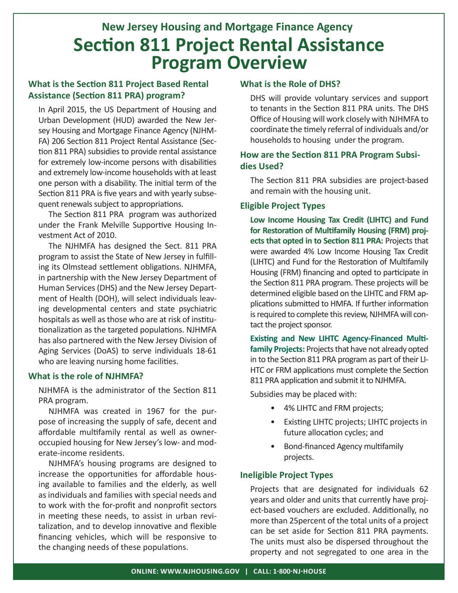# **Section 811 Project Rental Assistance Program Overview New Jersey Housing and Mortgage Finance Agency**

#### **What is the Section 811 Project Based Rental Assistance (Section 811 PRA) program?**

In April 2015, the US Department of Housing and Urban Development (HUD) awarded the New Jersey Housing and Mortgage Finance Agency (NJHM-FA) 206 Section 811 Project Rental Assistance (Section 811 PRA) subsidies to provide rental assistance for extremely low-income persons with disabilities and extremely low-income households with at least one person with a disability. The initial term of the Section 811 PRA is five years and with yearly subsequent renewals subject to appropriations.

The Section 811 PRA program was authorized under the Frank Melville Supportive Housing Investment Act of 2010.

The NJHMFA has designed the Sect. 811 PRA program to assist the State of New Jersey in fulfilling its Olmstead settlement obligations. NJHMFA, in partnership with the New Jersey Department of Human Services (DHS) and the New Jersey Department of Health (DOH), will select individuals leaving developmental centers and state psychiatric hospitals as well as those who are at risk of institutionalization as the targeted populations. NJHMFA has also partnered with the New Jersey Division of Aging Services (DoAS) to serve individuals 18-61 who are leaving nursing home facilities.

#### **What is the role of NJHMFA?**

NJHMFA is the administrator of the Section 811 PRA program.

NJHMFA was created in 1967 for the purpose of increasing the supply of safe, decent and affordable multifamily rental as well as owneroccupied housing for New Jersey's low- and moderate-income residents.

NJHMFA's housing programs are designed to increase the opportunities for affordable housing available to families and the elderly, as well as individuals and families with special needs and to work with the for-profit and nonprofit sectors in meeting these needs, to assist in urban revitalization, and to develop innovative and flexible financing vehicles, which will be responsive to the changing needs of these populations.

#### **What is the Role of DHS?**

DHS will provide voluntary services and support to tenants in the Section 811 PRA units. The DHS Office of Housing will work closely with NJHMFA to coordinate the timely referral of individuals and/or households to housing under the program.

#### **How are the Section 811 PRA Program Subsidies Used?**

The Section 811 PRA subsidies are project-based and remain with the housing unit.

#### **Eligible Project Types**

**Low Income Housing Tax Credit (LIHTC) and Fund for Restoration of Multifamily Housing (FRM) projects that opted in to Section 811 PRA:** Projects that were awarded 4% Low Income Housing Tax Credit (LIHTC) and Fund for the Restoration of Multifamily Housing (FRM) financing and opted to participate in the Section 811 PRA program. These projects will be determined eligible based on the LIHTC and FRM applications submitted to HMFA. If further information is required to complete this review, NJHMFA will contact the project sponsor.

**Existing and New LIHTC Agency-Financed Multifamily Projects:** Projects that have not already opted in to the Section 811 PRA program as part of their LI-HTC or FRM applications must complete the Section 811 PRA application and submit it to NJHMFA.

Subsidies may be placed with:

- 4% LIHTC and FRM projects;
- Existing LIHTC projects; LIHTC projects in future allocation cycles; and
- Bond-financed Agency multifamily projects.

#### **Ineligible Project Types**

Projects that are designated for individuals 62 years and older and units that currently have project-based vouchers are excluded. Additionally, no more than 25percent of the total units of a project can be set aside for Section 811 PRA payments. The units must also be dispersed throughout the property and not segregated to one area in the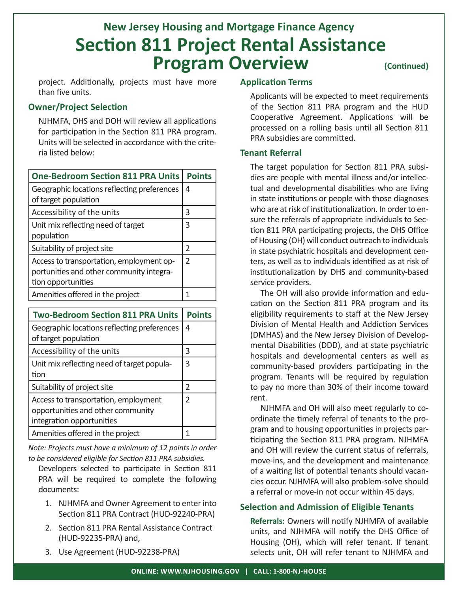## **(Continued) Section 811 Project Rental Assistance Program Overview New Jersey Housing and Mortgage Finance Agency**

project. Additionally, projects must have more than five units.

#### **Owner/Project Selection**

NJHMFA, DHS and DOH will review all applications for participation in the Section 811 PRA program. Units will be selected in accordance with the criteria listed below:

| <b>One-Bedroom Section 811 PRA Units</b>                                                                   | <b>Points</b> |
|------------------------------------------------------------------------------------------------------------|---------------|
| Geographic locations reflecting preferences<br>of target population                                        | 4             |
| Accessibility of the units                                                                                 | 3             |
| Unit mix reflecting need of target<br>population                                                           | 3             |
| Suitability of project site                                                                                | 2             |
| Access to transportation, employment op-<br>portunities and other community integra-<br>tion opportunities | 2             |
| Amenities offered in the project                                                                           | 1             |

| <b>Two-Bedroom Section 811 PRA Units</b>                                                               | <b>Points</b>  |
|--------------------------------------------------------------------------------------------------------|----------------|
| Geographic locations reflecting preferences<br>of target population                                    | 4              |
| Accessibility of the units                                                                             | २              |
| Unit mix reflecting need of target popula-<br>tion                                                     | 3              |
| Suitability of project site                                                                            | $\mathcal{P}$  |
| Access to transportation, employment<br>opportunities and other community<br>integration opportunities | $\mathfrak{D}$ |
| Amenities offered in the project                                                                       |                |

*Note: Projects must have a minimum of 12 points in order to be considered eligible for Section 811 PRA subsidies.* 

Developers selected to participate in Section 811 PRA will be required to complete the following documents:

- 1. NJHMFA and Owner Agreement to enter into Section 811 PRA Contract (HUD-92240-PRA)
- 2. Section 811 PRA Rental Assistance Contract (HUD-92235-PRA) and,
- 3. Use Agreement (HUD-92238-PRA)

#### **Application Terms**

Applicants will be expected to meet requirements of the Section 811 PRA program and the HUD Cooperative Agreement. Applications will be processed on a rolling basis until all Section 811 PRA subsidies are committed.

#### **Tenant Referral**

The target population for Section 811 PRA subsidies are people with mental illness and/or intellectual and developmental disabilities who are living in state institutions or people with those diagnoses who are at risk of institutionalization. In order to ensure the referrals of appropriate individuals to Section 811 PRA participating projects, the DHS Office of Housing (OH) will conduct outreach to individuals in state psychiatric hospitals and development centers, as well as to individuals identified as at risk of institutionalization by DHS and community-based service providers.

The OH will also provide information and education on the Section 811 PRA program and its eligibility requirements to staff at the New Jersey Division of Mental Health and Addiction Services (DMHAS) and the New Jersey Division of Developmental Disabilities (DDD), and at state psychiatric hospitals and developmental centers as well as community-based providers participating in the program. Tenants will be required by regulation to pay no more than 30% of their income toward rent.

NJHMFA and OH will also meet regularly to coordinate the timely referral of tenants to the program and to housing opportunities in projects participating the Section 811 PRA program. NJHMFA and OH will review the current status of referrals, move-ins, and the development and maintenance of a waiting list of potential tenants should vacancies occur. NJHMFA will also problem-solve should a referral or move-in not occur within 45 days.

#### **Selection and Admission of Eligible Tenants**

**Referrals:** Owners will notify NJHMFA of available units, and NJHMFA will notify the DHS Office of Housing (OH), which will refer tenant. If tenant selects unit, OH will refer tenant to NJHMFA and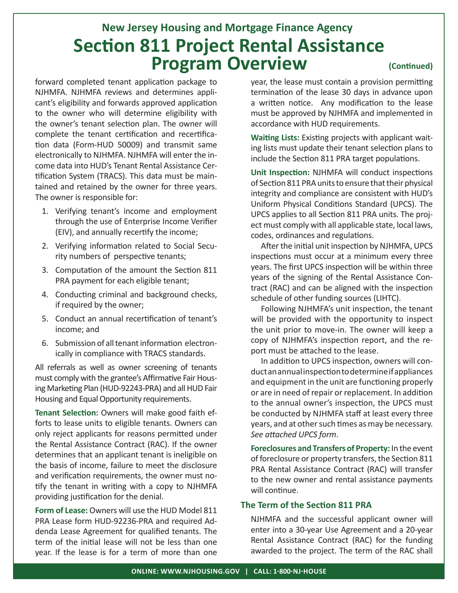# **Section 811 Project Rental Assistance Program Overview New Jersey Housing and Mortgage Finance Agency**

forward completed tenant application package to NJHMFA. NJHMFA reviews and determines applicant's eligibility and forwards approved application to the owner who will determine eligibility with the owner's tenant selection plan. The owner will complete the tenant certification and recertification data (Form-HUD 50009) and transmit same electronically to NJHMFA. NJHMFA will enter the income data into HUD's Tenant Rental Assistance Certification System (TRACS). This data must be maintained and retained by the owner for three years. The owner is responsible for:

- 1. Verifying tenant's income and employment through the use of Enterprise Income Verifier (EIV), and annually recertify the income;
- 2. Verifying information related to Social Security numbers of perspective tenants;
- 3. Computation of the amount the Section 811 PRA payment for each eligible tenant;
- 4. Conducting criminal and background checks, if required by the owner;
- 5. Conduct an annual recertification of tenant's income; and
- 6. Submission of all tenant information electronically in compliance with TRACS standards.

All referrals as well as owner screening of tenants must comply with the grantee's Affirmative Fair Housing Marketing Plan (HUD-92243-PRA) and all HUD Fair Housing and Equal Opportunity requirements.

**Tenant Selection:** Owners will make good faith efforts to lease units to eligible tenants. Owners can only reject applicants for reasons permitted under the Rental Assistance Contract (RAC). If the owner determines that an applicant tenant is ineligible on the basis of income, failure to meet the disclosure and verification requirements, the owner must notify the tenant in writing with a copy to NJHMFA providing justification for the denial.

**Form of Lease:** Owners will use the HUD Model 811 PRA Lease form HUD-92236-PRA and required Addenda Lease Agreement for qualified tenants. The term of the initial lease will not be less than one year. If the lease is for a term of more than one

year, the lease must contain a provision permitting termination of the lease 30 days in advance upon a written notice. Any modification to the lease must be approved by NJHMFA and implemented in accordance with HUD requirements.

**(Continued)**

**Waiting Lists:** Existing projects with applicant waiting lists must update their tenant selection plans to include the Section 811 PRA target populations.

**Unit Inspection:** NJHMFA will conduct inspections of Section 811 PRA units to ensure that their physical integrity and compliance are consistent with HUD's Uniform Physical Conditions Standard (UPCS). The UPCS applies to all Section 811 PRA units. The project must comply with all applicable state, local laws, codes, ordinances and regulations.

After the initial unit inspection by NJHMFA, UPCS inspections must occur at a minimum every three years. The first UPCS inspection will be within three years of the signing of the Rental Assistance Contract (RAC) and can be aligned with the inspection schedule of other funding sources (LIHTC).

Following NJHMFA's unit inspection, the tenant will be provided with the opportunity to inspect the unit prior to move-in. The owner will keep a copy of NJHMFA's inspection report, and the report must be attached to the lease.

In addition to UPCS inspection, owners will conduct an annual inspection to determine if appliances and equipment in the unit are functioning properly or are in need of repair or replacement. In addition to the annual owner's inspection, the UPCS must be conducted by NJHMFA staff at least every three years, and at other such times as may be necessary. *See attached UPCS form*.

**Foreclosures and Transfers of Property:** In the event of foreclosure or property transfers, the Section 811 PRA Rental Assistance Contract (RAC) will transfer to the new owner and rental assistance payments will continue.

#### **The Term of the Section 811 PRA**

NJHMFA and the successful applicant owner will enter into a 30-year Use Agreement and a 20-year Rental Assistance Contract (RAC) for the funding awarded to the project. The term of the RAC shall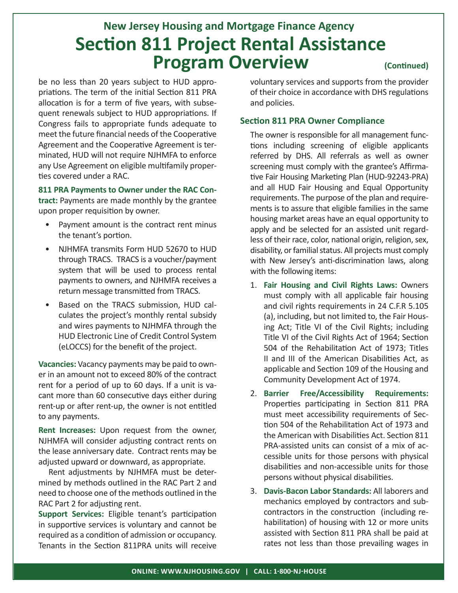# **(Continued) Section 811 Project Rental Assistance Program Overview New Jersey Housing and Mortgage Finance Agency**

be no less than 20 years subject to HUD appropriations. The term of the initial Section 811 PRA allocation is for a term of five years, with subsequent renewals subject to HUD appropriations. If Congress fails to appropriate funds adequate to meet the future financial needs of the Cooperative Agreement and the Cooperative Agreement is terminated, HUD will not require NJHMFA to enforce any Use Agreement on eligible multifamily properties covered under a RAC.

# **811 PRA Payments to Owner under the RAC Con-**

**tract:** Payments are made monthly by the grantee upon proper requisition by owner.

- Payment amount is the contract rent minus the tenant's portion.
- NJHMFA transmits Form HUD 52670 to HUD through TRACS. TRACS is a voucher/payment system that will be used to process rental payments to owners, and NJHMFA receives a return message transmitted from TRACS.
- Based on the TRACS submission, HUD calculates the project's monthly rental subsidy and wires payments to NJHMFA through the HUD Electronic Line of Credit Control System (eLOCCS) for the benefit of the project.

**Vacancies:** Vacancy payments may be paid to owner in an amount not to exceed 80% of the contract rent for a period of up to 60 days. If a unit is vacant more than 60 consecutive days either during rent-up or after rent-up, the owner is not entitled to any payments.

**Rent Increases:** Upon request from the owner, NJHMFA will consider adjusting contract rents on the lease anniversary date. Contract rents may be adjusted upward or downward, as appropriate.

Rent adjustments by NJHMFA must be determined by methods outlined in the RAC Part 2 and need to choose one of the methods outlined in the RAC Part 2 for adjusting rent.

**Support Services:** Eligible tenant's participation in supportive services is voluntary and cannot be required as a condition of admission or occupancy. Tenants in the Section 811PRA units will receive voluntary services and supports from the provider of their choice in accordance with DHS regulations and policies.

#### **Section 811 PRA Owner Compliance**

The owner is responsible for all management functions including screening of eligible applicants referred by DHS. All referrals as well as owner screening must comply with the grantee's Affirmative Fair Housing Marketing Plan (HUD-92243-PRA) and all HUD Fair Housing and Equal Opportunity requirements. The purpose of the plan and requirements is to assure that eligible families in the same housing market areas have an equal opportunity to apply and be selected for an assisted unit regardless of their race, color, national origin, religion, sex, disability, or familial status. All projects must comply with New Jersey's anti-discrimination laws, along with the following items:

- 1. **Fair Housing and Civil Rights Laws:** Owners must comply with all applicable fair housing and civil rights requirements in 24 C.F.R 5.105 (a), including, but not limited to, the Fair Housing Act; Title VI of the Civil Rights; including Title VI of the Civil Rights Act of 1964; Section 504 of the Rehabilitation Act of 1973; Titles II and III of the American Disabilities Act, as applicable and Section 109 of the Housing and Community Development Act of 1974.
- 2. **Barrier Free/Accessibility Requirements:** Properties participating in Section 811 PRA must meet accessibility requirements of Section 504 of the Rehabilitation Act of 1973 and the American with Disabilities Act. Section 811 PRA-assisted units can consist of a mix of accessible units for those persons with physical disabilities and non-accessible units for those persons without physical disabilities.
- 3. **Davis-Bacon Labor Standards:** All laborers and mechanics employed by contractors and subcontractors in the construction (including rehabilitation) of housing with 12 or more units assisted with Section 811 PRA shall be paid at rates not less than those prevailing wages in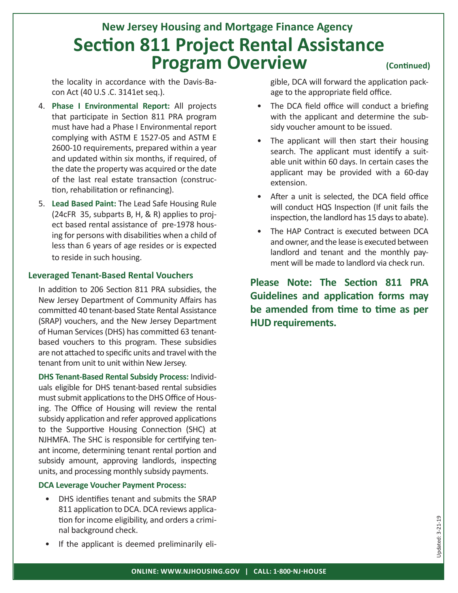## **(Continued) Section 811 Project Rental Assistance Program Overview New Jersey Housing and Mortgage Finance Agency**

the locality in accordance with the Davis-Bacon Act (40 U.S .C. 3141et seq.).

- 4. **Phase I Environmental Report:** All projects that participate in Section 811 PRA program must have had a Phase I Environmental report complying with ASTM E 1527-05 and ASTM E 2600-10 requirements, prepared within a year and updated within six months, if required, of the date the property was acquired or the date of the last real estate transaction (construction, rehabilitation or refinancing).
- 5. **Lead Based Paint:** The Lead Safe Housing Rule (24cFR 35, subparts B, H, & R) applies to project based rental assistance of pre-1978 housing for persons with disabilities when a child of less than 6 years of age resides or is expected to reside in such housing.

#### **Leveraged Tenant-Based Rental Vouchers**

In addition to 206 Section 811 PRA subsidies, the New Jersey Department of Community Affairs has committed 40 tenant-based State Rental Assistance (SRAP) vouchers, and the New Jersey Department of Human Services (DHS) has committed 63 tenantbased vouchers to this program. These subsidies are not attached to specific units and travel with the tenant from unit to unit within New Jersey.

**DHS Tenant-Based Rental Subsidy Process:** Individuals eligible for DHS tenant-based rental subsidies must submit applications to the DHS Office of Housing. The Office of Housing will review the rental subsidy application and refer approved applications to the Supportive Housing Connection (SHC) at NJHMFA. The SHC is responsible for certifying tenant income, determining tenant rental portion and subsidy amount, approving landlords, inspecting units, and processing monthly subsidy payments.

#### **DCA Leverage Voucher Payment Process:**

- DHS identifies tenant and submits the SRAP 811 application to DCA. DCA reviews application for income eligibility, and orders a criminal background check.
- If the applicant is deemed preliminarily eli-

gible, DCA will forward the application package to the appropriate field office.

- The DCA field office will conduct a briefing with the applicant and determine the subsidy voucher amount to be issued.
- The applicant will then start their housing search. The applicant must identify a suitable unit within 60 days. In certain cases the applicant may be provided with a 60-day extension.
- After a unit is selected, the DCA field office will conduct HQS Inspection (If unit fails the inspection, the landlord has 15 days to abate).
- The HAP Contract is executed between DCA and owner, and the lease is executed between landlord and tenant and the monthly payment will be made to landlord via check run.

**Please Note: The Section 811 PRA Guidelines and application forms may be amended from time to time as per HUD requirements.**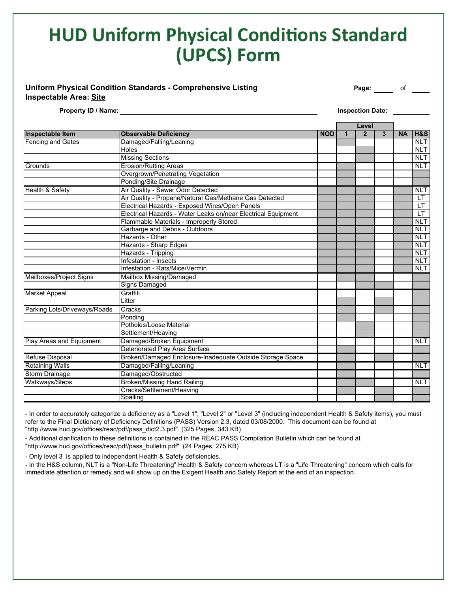# **HUD Uniform Physical Conditions Standard (UPCS) Form**

#### **Uniform Physical Condition Standards - Comprehensive Listing The Conduction of Page: Conduction of Page:** Of  $\frac{1}{2}$ **Inspectable Area: Site**

**Property ID / Name:** <u>Inspection Date:</u> Inspection Date: 1999.

|                              |                                                               |            |   | Level          |   |           |                |
|------------------------------|---------------------------------------------------------------|------------|---|----------------|---|-----------|----------------|
| Inspectable Item             | <b>Observable Deficiency</b>                                  | <b>NOD</b> | 1 | $\overline{2}$ | 3 | <b>NA</b> | <b>H&amp;S</b> |
| <b>Fencing and Gates</b>     | Damaged/Falling/Leaning                                       |            |   |                |   |           | <b>NLT</b>     |
|                              | Holes                                                         |            |   |                |   |           | <b>NLT</b>     |
|                              | <b>Missing Sections</b>                                       |            |   |                |   |           | <b>NLT</b>     |
| Grounds                      | <b>Erosion/Rutting Areas</b>                                  |            |   |                |   |           | <b>NLT</b>     |
|                              | Overgrown/Penetrating Vegetation                              |            |   |                |   |           |                |
|                              | Ponding/Site Drainage                                         |            |   |                |   |           |                |
| Health & Safety              | Air Quality - Sewer Odor Detected                             |            |   |                |   |           | <b>NLT</b>     |
|                              | Air Quality - Propane/Natural Gas/Methane Gas Detected        |            |   |                |   |           | LT.            |
|                              | Electrical Hazards - Exposed Wires/Open Panels                |            |   |                |   |           | LT.            |
|                              | Electrical Hazards - Water Leaks on/near Electrical Equipment |            |   |                |   |           | LT             |
|                              | Flammable Materials - Improperly Stored                       |            |   |                |   |           | <b>NLT</b>     |
|                              | Garbarge and Debris - Outdoors                                |            |   |                |   |           | <b>NLT</b>     |
|                              | Hazards - Other                                               |            |   |                |   |           | <b>NLT</b>     |
|                              | <b>Hazards - Sharp Edges</b>                                  |            |   |                |   |           | NLT            |
|                              | Hazards - Tripping                                            |            |   |                |   |           | <b>NLT</b>     |
|                              | Infestation - Insects                                         |            |   |                |   |           | <b>NLT</b>     |
|                              | Infestation - Rats/Mice/Vermin                                |            |   |                |   |           | <b>NLT</b>     |
| Mailboxes/Project Signs      | Mailbox Missing/Damaged                                       |            |   |                |   |           |                |
|                              | <b>Signs Damaged</b>                                          |            |   |                |   |           |                |
| <b>Market Appeal</b>         | Graffiti                                                      |            |   |                |   |           |                |
|                              | Litter                                                        |            |   |                |   |           |                |
| Parking Lots/Driveways/Roads | Cracks                                                        |            |   |                |   |           |                |
|                              | Pondina                                                       |            |   |                |   |           |                |
|                              | Potholes/Loose Material                                       |            |   |                |   |           |                |
|                              | Settlement/Heaving                                            |            |   |                |   |           |                |
| Play Areas and Equipment     | Damaged/Broken Equipment                                      |            |   |                |   |           | <b>NLT</b>     |
|                              | Deteriorated Play Area Surface                                |            |   |                |   |           |                |
| Refuse Disposal              | Broken/Damaged Enclosure-Inadequate Outside Storage Space     |            |   |                |   |           |                |
| <b>Retaining Walls</b>       | Damaged/Falling/Leaning                                       |            |   |                |   |           | <b>NLT</b>     |
| <b>Storm Drainage</b>        | Damaged/Obstructed                                            |            |   |                |   |           |                |
| Walkways/Steps               | <b>Broken/Missing Hand Railing</b>                            |            |   |                |   |           | <b>NLT</b>     |
|                              | Cracks/Settlement/Heaving                                     |            |   |                |   |           |                |
|                              | Spalling                                                      |            |   |                |   |           |                |

- In order to accurately categorize a deficiency as a "Level 1", "Level 2" or "Level 3" (including independent Health & Safety items), you must refer to the Final Dictionary of Deficiency Definitions (PASS) Version 2.3, dated 03/08/2000. This document can be found at "http://www.hud.gov/offices/reac/pdf/pass\_dict2.3.pdf" (325 Pages, 343 KB)

- Additional clarification to these definitions is contained in the REAC PASS Compilation Bulletin which can be found at

"http://www.hud.gov/offices/reac/pdf/pass\_bulletin.pdf" (24 Pages, 275 KB)

- Only level 3 is applied to independent Health & Safety deficiencies.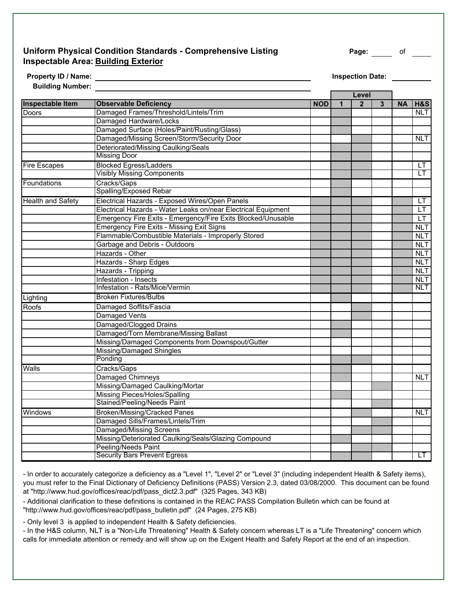#### **Uniform Physical Condition Standards - Comprehensive Listing The Rage: The Conduction of The Page: The Page:** of **Inspectable Area: Building Exterior**

Property ID / Name: **Inspection Date:** Inspection Date:

**Building Number:** 

| <b>Dunung Number.</b>    |                                                               |            |   | Level          |   |           |                |
|--------------------------|---------------------------------------------------------------|------------|---|----------------|---|-----------|----------------|
| Inspectable Item         | <b>Observable Deficiency</b>                                  | <b>NOD</b> | 1 | $\overline{2}$ | 3 | <b>NA</b> | <b>H&amp;S</b> |
| Doors                    | Damaged Frames/Threshold/Lintels/Trim                         |            |   |                |   |           | <b>NLT</b>     |
|                          | Damaged Hardware/Locks                                        |            |   |                |   |           |                |
|                          | Damaged Surface (Holes/Paint/Rusting/Glass)                   |            |   |                |   |           |                |
|                          | Damaged/Missing Screen/Storm/Security Door                    |            |   |                |   |           | <b>NLT</b>     |
|                          | Deteriorated/Missing Caulking/Seals                           |            |   |                |   |           |                |
|                          | <b>Missing Door</b>                                           |            |   |                |   |           |                |
| <b>Fire Escapes</b>      | <b>Blocked Egress/Ladders</b>                                 |            |   |                |   |           | LТ             |
|                          | <b>Visibly Missing Components</b>                             |            |   |                |   |           | LT             |
| Foundations              | Cracks/Gaps                                                   |            |   |                |   |           |                |
|                          | Spalling/Exposed Rebar                                        |            |   |                |   |           |                |
| <b>Health and Safety</b> | Electrical Hazards - Exposed Wires/Open Panels                |            |   |                |   |           | LT.            |
|                          | Electrical Hazards - Water Leaks on/near Electrical Equipment |            |   |                |   |           | <b>LT</b>      |
|                          | Emergency Fire Exits - Emergency/Fire Exits Blocked/Unusable  |            |   |                |   |           | LT             |
|                          | Emergency Fire Exits - Missing Exit Signs                     |            |   |                |   |           | NLT            |
|                          | Flammable/Combustible Materials - Improperly Stored           |            |   |                |   |           | <b>NLT</b>     |
|                          | Garbage and Debris - Outdoors                                 |            |   |                |   |           | NLT            |
|                          | Hazards - Other                                               |            |   |                |   |           | NLT.           |
|                          | Hazards - Sharp Edges                                         |            |   |                |   |           | <b>NLT</b>     |
|                          | Hazards - Tripping                                            |            |   |                |   |           | <b>NLT</b>     |
|                          | Infestation - Insects                                         |            |   |                |   |           | <b>NLT</b>     |
|                          | Infestation - Rats/Mice/Vermin                                |            |   |                |   |           | <b>NLT</b>     |
| Lighting                 | <b>Broken Fixtures/Bulbs</b>                                  |            |   |                |   |           |                |
| Roofs                    | Damaged Soffits/Fascia                                        |            |   |                |   |           |                |
|                          | Damaged Vents                                                 |            |   |                |   |           |                |
|                          | Damaged/Clogged Drains                                        |            |   |                |   |           |                |
|                          | Damaged/Torn Membrane/Missing Ballast                         |            |   |                |   |           |                |
|                          | Missing/Damaged Components from Downspout/Gutter              |            |   |                |   |           |                |
|                          | Missing/Damaged Shingles                                      |            |   |                |   |           |                |
|                          | Ponding                                                       |            |   |                |   |           |                |
| Walls                    | Cracks/Gaps                                                   |            |   |                |   |           |                |
|                          | Damaged Chimneys                                              |            |   |                |   |           | <b>NLT</b>     |
|                          | Missing/Damaged Caulking/Mortar                               |            |   |                |   |           |                |
|                          | Missing Pieces/Holes/Spalling                                 |            |   |                |   |           |                |
|                          | Stained/Peeling/Needs Paint                                   |            |   |                |   |           |                |
| Windows                  | Broken/Missing/Cracked Panes                                  |            |   |                |   |           | <b>NLT</b>     |
|                          | Damaged Sills/Frames/Lintels/Trim                             |            |   |                |   |           |                |
|                          | <b>Damaged/Missing Screens</b>                                |            |   |                |   |           |                |
|                          | Missing/Deteriorated Caulking/Seals/Glazing Compound          |            |   |                |   |           |                |
|                          | Peeling/Needs Paint                                           |            |   |                |   |           |                |
|                          | <b>Security Bars Prevent Egress</b>                           |            |   |                |   |           | LT             |

- In order to accurately categorize a deficiency as a "Level 1", "Level 2" or "Level 3" (including independent Health & Safety items), you must refer to the Final Dictionary of Deficiency Definitions (PASS) Version 2.3, dated 03/08/2000. This document can be found at "http://www.hud.gov/offices/reac/pdf/pass\_dict2.3.pdf" (325 Pages, 343 KB)

- Additional clarification to these definitions is contained in the REAC PASS Compilation Bulletin which can be found at "http://www.hud.gov/offices/reac/pdf/pass\_bulletin.pdf" (24 Pages, 275 KB)

- Only level 3 is applied to independent Health & Safety deficiencies.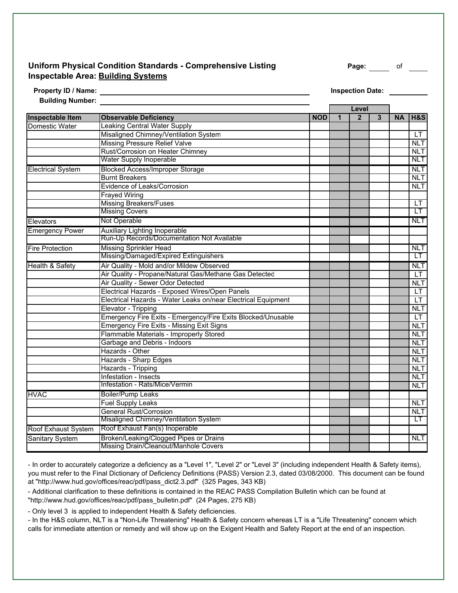#### **Uniform Physical Condition Standards - Comprehensive Listing Page:** of **Inspectable Area: Building Systems**

| Property ID / Name:     |
|-------------------------|
| <b>Building Number:</b> |

**Inspection Date:** 

|                            |                                                               |            |              | Level          |              |           |                |
|----------------------------|---------------------------------------------------------------|------------|--------------|----------------|--------------|-----------|----------------|
| <b>Inspectable Item</b>    | <b>Observable Deficiency</b>                                  | <b>NOD</b> | $\mathbf{1}$ | $\overline{2}$ | $\mathbf{3}$ | <b>NA</b> | <b>H&amp;S</b> |
| Domestic Water             | <b>Leaking Central Water Supply</b>                           |            |              |                |              |           |                |
|                            | Misaligned Chimney/Ventilation System                         |            |              |                |              |           | LT             |
|                            | <b>Missing Pressure Relief Valve</b>                          |            |              |                |              |           | <b>NLT</b>     |
|                            | Rust/Corrosion on Heater Chimney                              |            |              |                |              |           | <b>NLT</b>     |
|                            | <b>Water Supply Inoperable</b>                                |            |              |                |              |           | <b>NLT</b>     |
| <b>Electrical System</b>   | <b>Blocked Access/Improper Storage</b>                        |            |              |                |              |           | <b>NLT</b>     |
|                            | <b>Burnt Breakers</b>                                         |            |              |                |              |           | <b>NLT</b>     |
|                            | Evidence of Leaks/Corrosion                                   |            |              |                |              |           | <b>NLT</b>     |
|                            | <b>Frayed Wiring</b>                                          |            |              |                |              |           |                |
|                            | <b>Missing Breakers/Fuses</b>                                 |            |              |                |              |           | LT             |
|                            | <b>Missing Covers</b>                                         |            |              |                |              |           | LТ             |
| Elevators                  | Not Operable                                                  |            |              |                |              |           | <b>NLT</b>     |
| <b>Emergency Power</b>     | <b>Auxiliary Lighting Inoperable</b>                          |            |              |                |              |           |                |
|                            | Run-Up Records/Documentation Not Available                    |            |              |                |              |           |                |
| <b>Fire Protection</b>     | <b>Missing Sprinkler Head</b>                                 |            |              |                |              |           | <b>NLT</b>     |
|                            | Missing/Damaged/Expired Extinguishers                         |            |              |                |              |           | LТ             |
| <b>Health &amp; Safety</b> | Air Quality - Mold and/or Mildew Observed                     |            |              |                |              |           | <b>NLT</b>     |
|                            | Air Quality - Propane/Natural Gas/Methane Gas Detected        |            |              |                |              |           | I T            |
|                            | Air Quality - Sewer Odor Detected                             |            |              |                |              |           | NLT            |
|                            | Electrical Hazards - Exposed Wires/Open Panels                |            |              |                |              |           | <b>LT</b>      |
|                            | Electrical Hazards - Water Leaks on/near Electrical Equipment |            |              |                |              |           | LT             |
|                            | Elevator - Tripping                                           |            |              |                |              |           | <b>NLT</b>     |
|                            | Emergency Fire Exits - Emergency/Fire Exits Blocked/Unusable  |            |              |                |              |           | $\mathsf{I}$ T |
|                            | <b>Emergency Fire Exits - Missing Exit Signs</b>              |            |              |                |              |           | <b>NLT</b>     |
|                            | Flammable Materials - Improperly Stored                       |            |              |                |              |           | <b>NLT</b>     |
|                            | Garbage and Debris - Indoors                                  |            |              |                |              |           | <b>NLT</b>     |
|                            | Hazards - Other                                               |            |              |                |              |           | <b>NLT</b>     |
|                            | Hazards - Sharp Edges                                         |            |              |                |              |           | <b>NLT</b>     |
|                            | Hazards - Tripping                                            |            |              |                |              |           | <b>NLT</b>     |
|                            | Infestation - Insects                                         |            |              |                |              |           | <b>NLT</b>     |
|                            | Infestation - Rats/Mice/Vermin                                |            |              |                |              |           | <b>NLT</b>     |
| <b>HVAC</b>                | <b>Boiler/Pump Leaks</b>                                      |            |              |                |              |           |                |
|                            | <b>Fuel Supply Leaks</b>                                      |            |              |                |              |           | <b>NLT</b>     |
|                            | <b>General Rust/Corrosion</b>                                 |            |              |                |              |           | <b>NLT</b>     |
|                            | Misaligned Chimney/Ventilation System                         |            |              |                |              |           | LT.            |
| Roof Exhaust System        | Roof Exhaust Fan(s) Inoperable                                |            |              |                |              |           |                |
| <b>Sanitary System</b>     | Broken/Leaking/Clogged Pipes or Drains                        |            |              |                |              |           | <b>NLT</b>     |
|                            | Missing Drain/Cleanout/Manhole Covers                         |            |              |                |              |           |                |

- In order to accurately categorize a deficiency as a "Level 1", "Level 2" or "Level 3" (including independent Health & Safety items), you must refer to the Final Dictionary of Deficiency Definitions (PASS) Version 2.3, dated 03/08/2000. This document can be found at "http://www.hud.gov/offices/reac/pdf/pass\_dict2.3.pdf" (325 Pages, 343 KB)

- Additional clarification to these definitions is contained in the REAC PASS Compilation Bulletin which can be found at "http://www.hud.gov/offices/reac/pdf/pass\_bulletin.pdf" (24 Pages, 275 KB)

- Only level 3 is applied to independent Health & Safety deficiencies.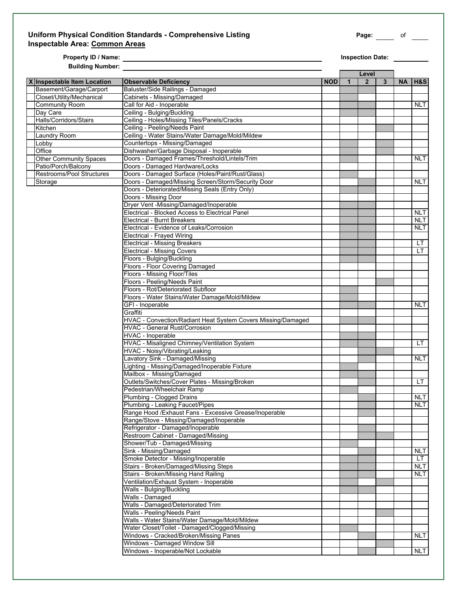#### **Uniform Physical Condition Standards - Comprehensive Listing Page:** of **Inspectable Area: Common Areas**

**Property ID / Name: Inspection Date: Building Number:** 

|                               |                                                              |            |   | Level          |   |           |            |
|-------------------------------|--------------------------------------------------------------|------------|---|----------------|---|-----------|------------|
| X Inspectable Item Location   | <b>Observable Deficiency</b>                                 | <b>NOD</b> | 1 | 2 <sup>1</sup> | 3 | <b>NA</b> | H&S        |
| Basement/Garage/Carport       | Baluster/Side Railings - Damaged                             |            |   |                |   |           |            |
| Closet/Utility/Mechanical     | Cabinets - Missing/Damaged                                   |            |   |                |   |           |            |
| <b>Community Room</b>         | Call for Aid - Inoperable                                    |            |   |                |   |           | <b>NLT</b> |
| Day Care                      | Ceiling - Bulging/Buckling                                   |            |   |                |   |           |            |
| Halls/Corridors/Stairs        | Ceiling - Holes/Missing Tiles/Panels/Cracks                  |            |   |                |   |           |            |
| Kitchen                       | Ceiling - Peeling/Needs Paint                                |            |   |                |   |           |            |
| Laundry Room                  | Ceiling - Water Stains/Water Damage/Mold/Mildew              |            |   |                |   |           |            |
|                               |                                                              |            |   |                |   |           |            |
| Lobby                         | Countertops - Missing/Damaged                                |            |   |                |   |           |            |
| Office                        | Dishwasher/Garbage Disposal - Inoperable                     |            |   |                |   |           |            |
| <b>Other Community Spaces</b> | Doors - Damaged Frames/Threshold/Lintels/Trim                |            |   |                |   |           | <b>NLT</b> |
| Patio/Porch/Balconv           | Doors - Damaged Hardware/Locks                               |            |   |                |   |           |            |
| Restrooms/Pool Structures     | Doors - Damaged Surface (Holes/Paint/Rust/Glass)             |            |   |                |   |           |            |
| Storage                       | Doors - Damaged/Missing Screen/Storm/Security Door           |            |   |                |   |           | <b>NLT</b> |
|                               | Doors - Deteriorated/Missing Seals (Entry Only)              |            |   |                |   |           |            |
|                               | Doors - Missing Door                                         |            |   |                |   |           |            |
|                               | Dryer Vent -Missing/Damaged/Inoperable                       |            |   |                |   |           |            |
|                               | Electrical - Blocked Access to Electrical Panel              |            |   |                |   |           | <b>NLT</b> |
|                               | <b>Electrical - Burnt Breakers</b>                           |            |   |                |   |           | <b>NLT</b> |
|                               | Electrical - Evidence of Leaks/Corrosion                     |            |   |                |   |           | NLT        |
|                               | Electrical - Frayed Wiring                                   |            |   |                |   |           |            |
|                               | <b>Electrical - Missing Breakers</b>                         |            |   |                |   |           | LT.        |
|                               | <b>Electrical - Missing Covers</b>                           |            |   |                |   |           | LT.        |
|                               | Floors - Bulging/Buckling                                    |            |   |                |   |           |            |
|                               | Floors - Floor Covering Damaged                              |            |   |                |   |           |            |
|                               | Floors - Missing Floor/Tiles                                 |            |   |                |   |           |            |
|                               |                                                              |            |   |                |   |           |            |
|                               | Floors - Peeling/Needs Paint                                 |            |   |                |   |           |            |
|                               | Floors - Rot/Deteriorated Subfloor                           |            |   |                |   |           |            |
|                               | Floors - Water Stains/Water Damage/Mold/Mildew               |            |   |                |   |           |            |
|                               | GFI - Inoperable                                             |            |   |                |   |           | NLT        |
|                               | Graffiti                                                     |            |   |                |   |           |            |
|                               | HVAC - Convection/Radiant Heat System Covers Missing/Damaged |            |   |                |   |           |            |
|                               | HVAC - General Rust/Corrosion                                |            |   |                |   |           |            |
|                               | HVAC - Inoperable                                            |            |   |                |   |           |            |
|                               | HVAC - Misaligned Chimney/Ventilation System                 |            |   |                |   |           | LT         |
|                               | HVAC - Noisy/Vibrating/Leaking                               |            |   |                |   |           |            |
|                               | Lavatory Sink - Damaged/Missing                              |            |   |                |   |           | NLT.       |
|                               | Lighting - Missing/Damaged/Inoperable Fixture                |            |   |                |   |           |            |
|                               | Mailbox - Missing/Damaged                                    |            |   |                |   |           |            |
|                               | Outlets/Switches/Cover Plates - Missing/Broken               |            |   |                |   |           | LT.        |
|                               | Pedestrian/Wheelchair Ramp                                   |            |   |                |   |           |            |
|                               | Plumbing - Clogged Drains                                    |            |   |                |   |           | <b>NLT</b> |
|                               | Plumbing - Leaking Faucet/Pipes                              |            |   |                |   |           | NLT I      |
|                               | Range Hood /Exhaust Fans - Excessive Grease/Inoperable       |            |   |                |   |           |            |
|                               | Range/Stove - Missing/Damaged/Inoperable                     |            |   |                |   |           |            |
|                               | Refrigerator - Damaged/Inoperable                            |            |   |                |   |           |            |
|                               | Restroom Cabinet - Damaged/Missing                           |            |   |                |   |           |            |
|                               |                                                              |            |   |                |   |           |            |
|                               | Shower/Tub - Damaged/Missing                                 |            |   |                |   |           |            |
|                               | Sink - Missing/Damaged                                       |            |   |                |   |           | <b>NLT</b> |
|                               | Smoke Detector - Missing/Inoperable                          |            |   |                |   |           | LТ         |
|                               | Stairs - Broken/Damaged/Missing Steps                        |            |   |                |   |           | <b>NLT</b> |
|                               | Stairs - Broken/Missing Hand Railing                         |            |   |                |   |           | <b>NLT</b> |
|                               | Ventilation/Exhaust System - Inoperable                      |            |   |                |   |           |            |
|                               | Walls - Bulging/Buckling                                     |            |   |                |   |           |            |
|                               | Walls - Damaged                                              |            |   |                |   |           |            |
|                               | Walls - Damaged/Deteriorated Trim                            |            |   |                |   |           |            |
|                               | Walls - Peeling/Needs Paint                                  |            |   |                |   |           |            |
|                               | Walls - Water Stains/Water Damage/Mold/Mildew                |            |   |                |   |           |            |
|                               | Water Closet/Toilet - Damaged/Clogged/Missing                |            |   |                |   |           |            |
|                               | Windows - Cracked/Broken/Missing Panes                       |            |   |                |   |           | NLT        |
|                               | Windows - Damaged Window Sill                                |            |   |                |   |           |            |
|                               | Windows - Inoperable/Not Lockable                            |            |   |                |   |           | NLT I      |
|                               |                                                              |            |   |                |   |           |            |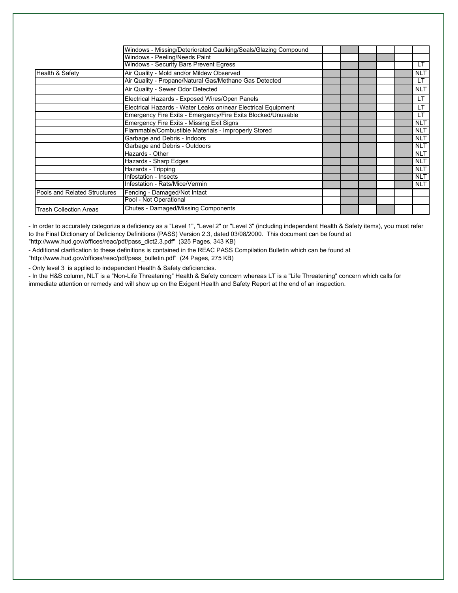|                               | Windows - Missing/Deteriorated Caulking/Seals/Glazing Compound |     |            |  |
|-------------------------------|----------------------------------------------------------------|-----|------------|--|
|                               | Windows - Peeling/Needs Paint                                  |     |            |  |
|                               | <b>Windows - Security Bars Prevent Egress</b>                  |     |            |  |
|                               |                                                                | LT. |            |  |
| <b>Health &amp; Safety</b>    | Air Quality - Mold and/or Mildew Observed                      |     | <b>NLT</b> |  |
|                               | Air Quality - Propane/Natural Gas/Methane Gas Detected         |     | LT.        |  |
|                               | Air Quality - Sewer Odor Detected                              |     | <b>NLT</b> |  |
|                               | Electrical Hazards - Exposed Wires/Open Panels                 |     | <b>LT</b>  |  |
|                               | Electrical Hazards - Water Leaks on/near Electrical Equipment  |     | LT.        |  |
|                               | Emergency Fire Exits - Emergency/Fire Exits Blocked/Unusable   |     | <b>LT</b>  |  |
|                               | <b>Emergency Fire Exits - Missing Exit Signs</b>               |     | <b>NLT</b> |  |
|                               | Flammable/Combustible Materials - Improperly Stored            |     | <b>NLT</b> |  |
|                               | Garbage and Debris - Indoors                                   |     | <b>NLT</b> |  |
|                               | Garbage and Debris - Outdoors                                  |     | <b>NLT</b> |  |
|                               | Hazards - Other                                                |     | <b>NLT</b> |  |
|                               | Hazards - Sharp Edges                                          |     | <b>NLT</b> |  |
|                               | Hazards - Tripping                                             |     | <b>NLT</b> |  |
|                               | Infestation - Insects                                          |     | <b>NLT</b> |  |
|                               | Infestation - Rats/Mice/Vermin                                 |     | <b>NLT</b> |  |
| Pools and Related Structures  | Fencing - Damaged/Not Intact                                   |     |            |  |
|                               | Pool - Not Operational                                         |     |            |  |
| <b>Trash Collection Areas</b> | Chutes - Damaged/Missing Components                            |     |            |  |

- In order to accurately categorize a deficiency as a "Level 1", "Level 2" or "Level 3" (including independent Health & Safety items), you must refer to the Final Dictionary of Deficiency Definitions (PASS) Version 2.3, dated 03/08/2000. This document can be found at "http://www.hud.gov/offices/reac/pdf/pass\_dict2.3.pdf" (325 Pages, 343 KB)

- Additional clarification to these definitions is contained in the REAC PASS Compilation Bulletin which can be found at "http://www.hud.gov/offices/reac/pdf/pass\_bulletin.pdf" (24 Pages, 275 KB)

- Only level 3 is applied to independent Health & Safety deficiencies.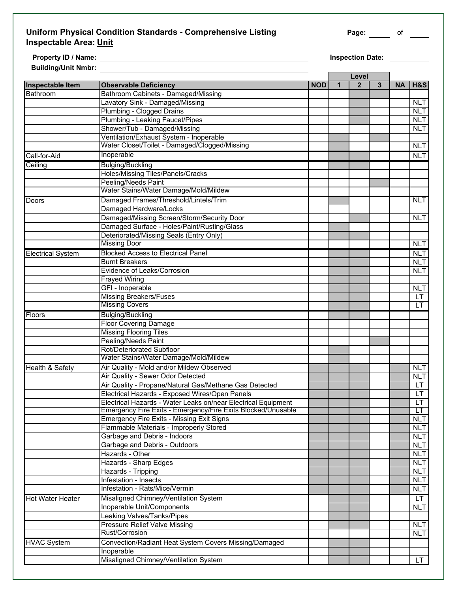#### **Uniform Physical Condition Standards - Comprehensive Listing <b>Page:** Page: 06 CML **Inspectable Area: Unit**

**Property ID / Name: Inspection Date: Building/Unit Nmbr:** 

L.

|                            |                                                               |            |   | Level        |   |    |                |
|----------------------------|---------------------------------------------------------------|------------|---|--------------|---|----|----------------|
| <b>Inspectable Item</b>    | <b>Observable Deficiency</b>                                  | <b>NOD</b> | 1 | $\mathbf{2}$ | 3 | NA | <b>H&amp;S</b> |
| Bathroom                   | Bathroom Cabinets - Damaged/Missing                           |            |   |              |   |    |                |
|                            | Lavatory Sink - Damaged/Missing                               |            |   |              |   |    | <b>NLT</b>     |
|                            | Plumbing - Clogged Drains                                     |            |   |              |   |    | <b>NLT</b>     |
|                            | Plumbing - Leaking Faucet/Pipes                               |            |   |              |   |    | <b>NLT</b>     |
|                            | Shower/Tub - Damaged/Missing                                  |            |   |              |   |    | <b>NLT</b>     |
|                            | Ventilation/Exhaust System - Inoperable                       |            |   |              |   |    |                |
|                            | Water Closet/Toilet - Damaged/Clogged/Missing                 |            |   |              |   |    | <b>NLT</b>     |
| Call-for-Aid               | Inoperable                                                    |            |   |              |   |    | <b>NLT</b>     |
| Ceiling                    | <b>Bulging/Buckling</b>                                       |            |   |              |   |    |                |
|                            | Holes/Missing Tiles/Panels/Cracks                             |            |   |              |   |    |                |
|                            | <b>Peeling/Needs Paint</b>                                    |            |   |              |   |    |                |
|                            | Water Stains/Water Damage/Mold/Mildew                         |            |   |              |   |    |                |
| Doors                      | Damaged Frames/Threshold/Lintels/Trim                         |            |   |              |   |    | <b>NLT</b>     |
|                            | Damaged Hardware/Locks                                        |            |   |              |   |    |                |
|                            | Damaged/Missing Screen/Storm/Security Door                    |            |   |              |   |    | <b>NLT</b>     |
|                            | Damaged Surface - Holes/Paint/Rusting/Glass                   |            |   |              |   |    |                |
|                            | Deteriorated/Missing Seals (Entry Only)                       |            |   |              |   |    |                |
|                            | <b>Missing Door</b>                                           |            |   |              |   |    | <b>NLT</b>     |
| <b>Electrical System</b>   | <b>Blocked Access to Electrical Panel</b>                     |            |   |              |   |    | <b>NLT</b>     |
|                            | <b>Burnt Breakers</b>                                         |            |   |              |   |    | <b>NLT</b>     |
|                            | Evidence of Leaks/Corrosion                                   |            |   |              |   |    | <b>NLT</b>     |
|                            | <b>Frayed Wiring</b>                                          |            |   |              |   |    |                |
|                            | GFI - Inoperable                                              |            |   |              |   |    | <b>NLT</b>     |
|                            | <b>Missing Breakers/Fuses</b>                                 |            |   |              |   |    | <b>LT</b>      |
|                            | <b>Missing Covers</b>                                         |            |   |              |   |    | LT.            |
| Floors                     | <b>Bulging/Buckling</b>                                       |            |   |              |   |    |                |
|                            | <b>Floor Covering Damage</b>                                  |            |   |              |   |    |                |
|                            | <b>Missing Flooring Tiles</b>                                 |            |   |              |   |    |                |
|                            | Peeling/Needs Paint                                           |            |   |              |   |    |                |
|                            | Rot/Deteriorated Subfloor                                     |            |   |              |   |    |                |
|                            | Water Stains/Water Damage/Mold/Mildew                         |            |   |              |   |    |                |
| <b>Health &amp; Safety</b> | Air Quality - Mold and/or Mildew Observed                     |            |   |              |   |    | <b>NLT</b>     |
|                            | Air Quality - Sewer Odor Detected                             |            |   |              |   |    | <b>NLT</b>     |
|                            | Air Quality - Propane/Natural Gas/Methane Gas Detected        |            |   |              |   |    | LT.            |
|                            | Electrical Hazards - Exposed Wires/Open Panels                |            |   |              |   |    | LT             |
|                            | Electrical Hazards - Water Leaks on/near Electrical Equipment |            |   |              |   |    | LT             |
|                            | Emergency Fire Exits - Emergency/Fire Exits Blocked/Unusable  |            |   |              |   |    | LT             |
|                            | Emergency Fire Exits - Missing Exit Signs                     |            |   |              |   |    | <b>NLT</b>     |
|                            | Flammable Materials - Improperly Stored                       |            |   |              |   |    | <b>NLT</b>     |
|                            | Garbage and Debris - Indoors                                  |            |   |              |   |    | <b>NLT</b>     |
|                            | Garbage and Debris - Outdoors                                 |            |   |              |   |    | <b>NLT</b>     |
|                            | Hazards - Other                                               |            |   |              |   |    | <b>NLT</b>     |
|                            | Hazards - Sharp Edges                                         |            |   |              |   |    | <b>NLT</b>     |
|                            | Hazards - Tripping                                            |            |   |              |   |    | <b>NLT</b>     |
|                            | Infestation - Insects                                         |            |   |              |   |    | <b>NLT</b>     |
|                            | Infestation - Rats/Mice/Vermin                                |            |   |              |   |    | <b>NLT</b>     |
| <b>Hot Water Heater</b>    | Misaligned Chimney/Ventilation System                         |            |   |              |   |    | LT.            |
|                            | Inoperable Unit/Components                                    |            |   |              |   |    | <b>NLT</b>     |
|                            | Leaking Valves/Tanks/Pipes                                    |            |   |              |   |    |                |
|                            | <b>Pressure Relief Valve Missing</b>                          |            |   |              |   |    | <b>NLT</b>     |
|                            | Rust/Corrosion                                                |            |   |              |   |    | <b>NLT</b>     |
| <b>HVAC System</b>         | Convection/Radiant Heat System Covers Missing/Damaged         |            |   |              |   |    |                |
|                            | Inoperable                                                    |            |   |              |   |    |                |
|                            | Misaligned Chimney/Ventilation System                         |            |   |              |   |    | LT             |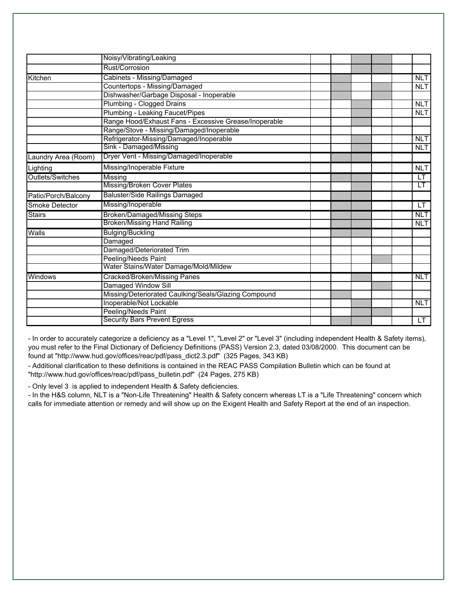|                     | Noisy/Vibrating/Leaking                               |  |            |
|---------------------|-------------------------------------------------------|--|------------|
|                     | Rust/Corrosion                                        |  |            |
| Kitchen             | Cabinets - Missing/Damaged                            |  | <b>NLT</b> |
|                     | Countertops - Missing/Damaged                         |  | <b>NLT</b> |
|                     | Dishwasher/Garbage Disposal - Inoperable              |  |            |
|                     | Plumbing - Clogged Drains                             |  | <b>NLT</b> |
|                     | Plumbing - Leaking Faucet/Pipes                       |  | <b>NLT</b> |
|                     | Range Hood/Exhaust Fans - Excessive Grease/Inoperable |  |            |
|                     | Range/Stove - Missing/Damaged/Inoperable              |  |            |
|                     | Refrigerator-Missing/Damaged/Inoperable               |  | <b>NLT</b> |
|                     | Sink - Damaged/Missing                                |  | <b>NLT</b> |
| Laundry Area (Room) | Dryer Vent - Missing/Damaged/Inoperable               |  |            |
| Lighting            | Missing/Inoperable Fixture                            |  | <b>NLT</b> |
| Outlets/Switches    | Missing                                               |  | LT         |
|                     | <b>Missing/Broken Cover Plates</b>                    |  | LT         |
| Patio/Porch/Balcony | <b>Baluster/Side Railings Damaged</b>                 |  |            |
| Smoke Detector      | Missing/Inoperable                                    |  | LT         |
| <b>Stairs</b>       | <b>Broken/Damaged/Missing Steps</b>                   |  | <b>NLT</b> |
|                     | <b>Broken/Missing Hand Railing</b>                    |  | <b>NLT</b> |
| Walls               | <b>Bulging/Buckling</b>                               |  |            |
|                     | Damaged                                               |  |            |
|                     | Damaged/Deteriorated Trim                             |  |            |
|                     | Peeling/Needs Paint                                   |  |            |
|                     | Water Stains/Water Damage/Mold/Mildew                 |  |            |
| Windows             | <b>Cracked/Broken/Missing Panes</b>                   |  | <b>NLT</b> |
|                     | Damaged Window Sill                                   |  |            |
|                     | Missing/Deteriorated Caulking/Seals/Glazing Compound  |  |            |
|                     | Inoperable/Not Lockable                               |  | <b>NLT</b> |
|                     | Peeling/Needs Paint                                   |  |            |
|                     | <b>Security Bars Prevent Egress</b>                   |  | LT         |

- In order to accurately categorize a deficiency as a "Level 1", "Level 2" or "Level 3" (including independent Health & Safety items), you must refer to the Final Dictionary of Deficiency Definitions (PASS) Version 2.3, dated 03/08/2000. This document can be found at "http://www.hud.gov/offices/reac/pdf/pass\_dict2.3.pdf" (325 Pages, 343 KB)

- Additional clarification to these definitions is contained in the REAC PASS Compilation Bulletin which can be found at "http://www.hud.gov/offices/reac/pdf/pass\_bulletin.pdf" (24 Pages, 275 KB)

- Only level 3 is applied to independent Health & Safety deficiencies.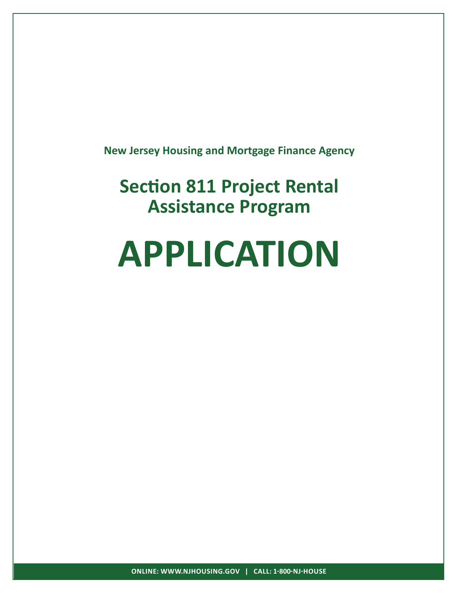**New Jersey Housing and Mortgage Finance Agency**

**Section 811 Project Rental Assistance Program**

# **APPLICATION**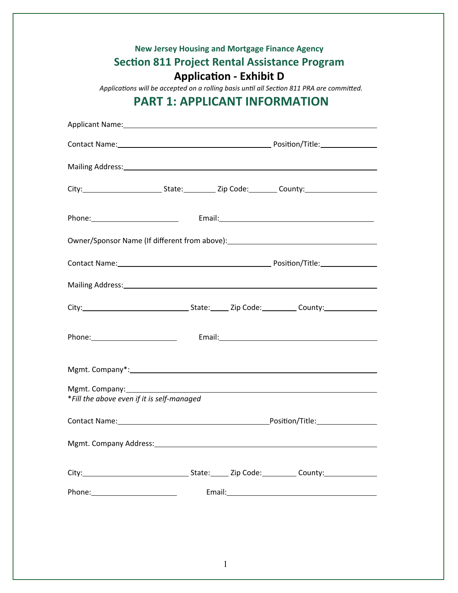|                                            | <b>PART 1: APPLICANT INFORMATION</b> |  | Applications will be accepted on a rolling basis until all Section 811 PRA are committed.                                                                                                                                      |
|--------------------------------------------|--------------------------------------|--|--------------------------------------------------------------------------------------------------------------------------------------------------------------------------------------------------------------------------------|
|                                            |                                      |  |                                                                                                                                                                                                                                |
|                                            |                                      |  |                                                                                                                                                                                                                                |
|                                            |                                      |  |                                                                                                                                                                                                                                |
|                                            |                                      |  |                                                                                                                                                                                                                                |
|                                            |                                      |  |                                                                                                                                                                                                                                |
|                                            |                                      |  | Owner/Sponsor Name (If different from above): __________________________________                                                                                                                                               |
|                                            |                                      |  |                                                                                                                                                                                                                                |
|                                            |                                      |  |                                                                                                                                                                                                                                |
|                                            |                                      |  |                                                                                                                                                                                                                                |
|                                            |                                      |  | Phone: Email: Email: Email: Email: Email: Email: Email: Email: Email: Email: Email: Email: Email: Email: Email: Email: Email: Email: Email: Email: Email: Email: Email: Email: Email: Email: Email: Email: Email: Email: Email |
| Mgmt. Company*:                            |                                      |  |                                                                                                                                                                                                                                |
|                                            |                                      |  |                                                                                                                                                                                                                                |
| *Fill the above even if it is self-managed |                                      |  |                                                                                                                                                                                                                                |
|                                            |                                      |  |                                                                                                                                                                                                                                |
|                                            |                                      |  |                                                                                                                                                                                                                                |
|                                            |                                      |  |                                                                                                                                                                                                                                |
|                                            |                                      |  |                                                                                                                                                                                                                                |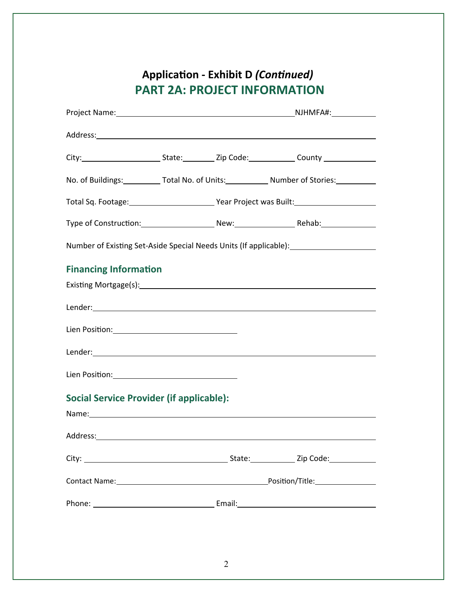# Application - Exhibit D (Continued) **PART 2A: PROJECT INFORMATION**

|                                                                                 |  | No. of Buildings:____________ Total No. of Units:____________ Number of Stories:___________                                                                                                                                   |
|---------------------------------------------------------------------------------|--|-------------------------------------------------------------------------------------------------------------------------------------------------------------------------------------------------------------------------------|
|                                                                                 |  |                                                                                                                                                                                                                               |
|                                                                                 |  |                                                                                                                                                                                                                               |
|                                                                                 |  | Number of Existing Set-Aside Special Needs Units (If applicable): _______________                                                                                                                                             |
| <b>Financing Information</b><br><b>Social Service Provider (if applicable):</b> |  | Name: Name: Name: Name: Name: Name: Name: Name: Name: Name: Name: Name: Name: Name: Name: Name: Name: Name: Name: Name: Name: Name: Name: Name: Name: Name: Name: Name: Name: Name: Name: Name: Name: Name: Name: Name: Name: |
|                                                                                 |  |                                                                                                                                                                                                                               |
|                                                                                 |  |                                                                                                                                                                                                                               |
|                                                                                 |  |                                                                                                                                                                                                                               |
|                                                                                 |  |                                                                                                                                                                                                                               |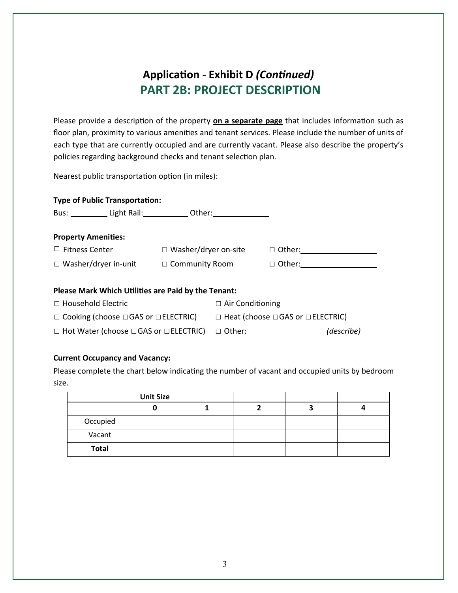# Application - Exhibit D (Continued) **PART 2B: PROJECT DESCRIPTION**

Please provide a description of the property **on a separate page** that includes information such as floor plan, proximity to various amenities and tenant services. Please include the number of units of each type that are currently occupied and are currently vacant. Please also describe the property's policies regarding background checks and tenant selection plan.

| Nearest public transportation option (in miles):                                                                                                                                                                                                                        |  |                             |  |  |  |
|-------------------------------------------------------------------------------------------------------------------------------------------------------------------------------------------------------------------------------------------------------------------------|--|-----------------------------|--|--|--|
| <b>Type of Public Transportation:</b><br>Bus: Light Rail: Cher: Chering Communication Communication Communication Communication Communication Communication Communication Communication Communication Communication Communication Communication Communication Communica |  |                             |  |  |  |
| <b>Property Amenities:</b>                                                                                                                                                                                                                                              |  |                             |  |  |  |
| $\Box$ Fitness Center                                                                                                                                                                                                                                                   |  | $\Box$ Washer/dryer on-site |  |  |  |
| $\Box$ Washer/dryer in-unit $\Box$ Community Room                                                                                                                                                                                                                       |  |                             |  |  |  |
|                                                                                                                                                                                                                                                                         |  |                             |  |  |  |
| Please Mark Which Utilities are Paid by the Tenant:                                                                                                                                                                                                                     |  |                             |  |  |  |
| $\Box$ Household Electric                                                                                                                                                                                                                                               |  | $\Box$ Air Conditioning     |  |  |  |
| $\Box$ Cooking (choose $\Box$ GAS or $\Box$ ELECTRIC) $\Box$ Heat (choose $\Box$ GAS or $\Box$ ELECTRIC)                                                                                                                                                                |  |                             |  |  |  |
|                                                                                                                                                                                                                                                                         |  |                             |  |  |  |

#### **Current Occupancy and Vacancy:**

Please complete the chart below indicating the number of vacant and occupied units by bedroom size. 

|              | <b>Unit Size</b> |  |  |
|--------------|------------------|--|--|
|              |                  |  |  |
| Occupied     |                  |  |  |
| Vacant       |                  |  |  |
| <b>Total</b> |                  |  |  |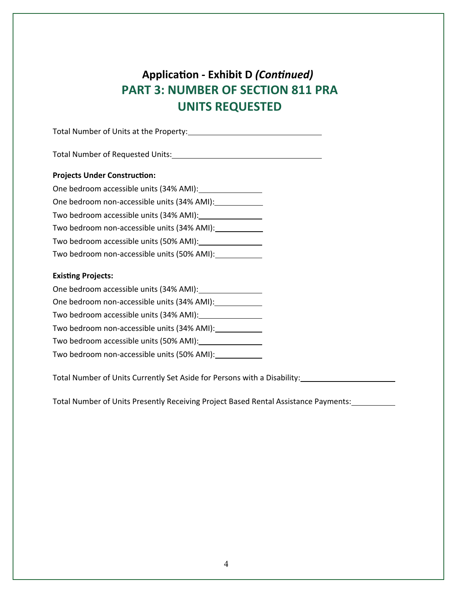# Application - Exhibit D (Continued) **PART 3: NUMBER OF SECTION 811 PRA UNITS 
 REQUESTED**

Total 
 Number 
 of 
 Units 
 at 
 the 
 Property: 

Total 
 Number 
 of 
 Requested 
 Units: 

#### **Projects Under Construction:**

| One bedroom accessible units (34% AMI):     |
|---------------------------------------------|
| One bedroom non-accessible units (34% AMI): |
| Two bedroom accessible units (34% AMI):     |
| Two bedroom non-accessible units (34% AMI): |
| Two bedroom accessible units (50% AMI):     |
| Two bedroom non-accessible units (50% AMI): |

#### **Existing Projects:**

| One bedroom accessible units (34% AMI):     |
|---------------------------------------------|
| One bedroom non-accessible units (34% AMI): |
| Two bedroom accessible units (34% AMI):     |
| Two bedroom non-accessible units (34% AMI): |
| Two bedroom accessible units (50% AMI):     |
| Two bedroom non-accessible units (50% AMI): |
|                                             |

Total 
 Number 
 of 
 Units 
 Currently 
 Set 
 Aside 
 for 
 Persons 
 with 
 a 
 Disability: 

Total Number of Units Presently Receiving Project Based Rental Assistance Payments: \_\_\_\_\_\_\_\_\_\_\_